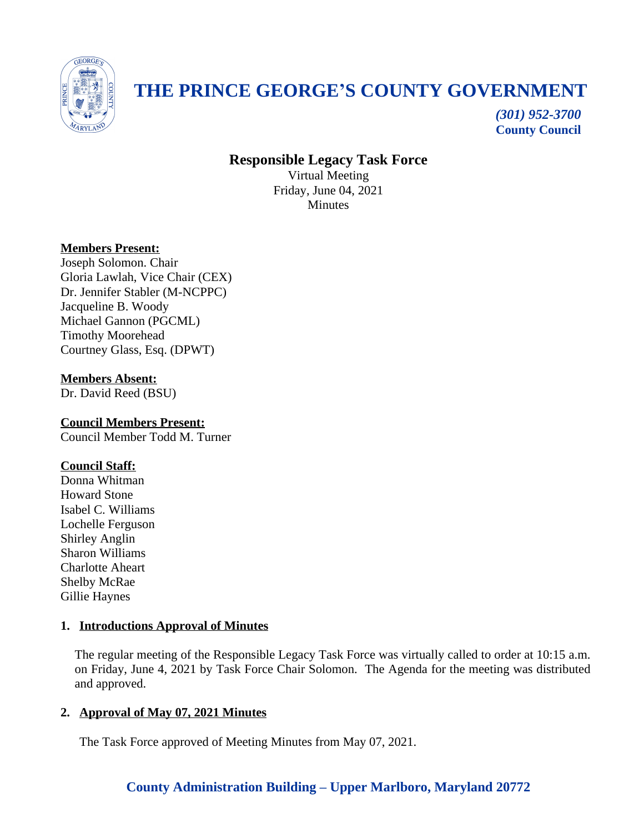

# **THE PRINCE GEORGE'S COUNTY GOVERNMENT**

*(301) 952-3700* **County Council**

# **Responsible Legacy Task Force**

Virtual Meeting Friday, June 04, 2021 **Minutes** 

## **Members Present:**

Joseph Solomon. Chair Gloria Lawlah, Vice Chair (CEX) Dr. Jennifer Stabler (M-NCPPC) Jacqueline B. Woody Michael Gannon (PGCML) Timothy Moorehead Courtney Glass, Esq. (DPWT)

#### **Members Absent:**

Dr. David Reed (BSU)

#### **Council Members Present:** Council Member Todd M. Turner

#### **Council Staff:**

Donna Whitman Howard Stone Isabel C. Williams Lochelle Ferguson Shirley Anglin Sharon Williams Charlotte Aheart Shelby McRae Gillie Haynes

#### **1. Introductions Approval of Minutes**

The regular meeting of the Responsible Legacy Task Force was virtually called to order at 10:15 a.m. on Friday, June 4, 2021 by Task Force Chair Solomon. The Agenda for the meeting was distributed and approved.

#### **2. Approval of May 07, 2021 Minutes**

The Task Force approved of Meeting Minutes from May 07, 2021.

## **County Administration Building – Upper Marlboro, Maryland 20772**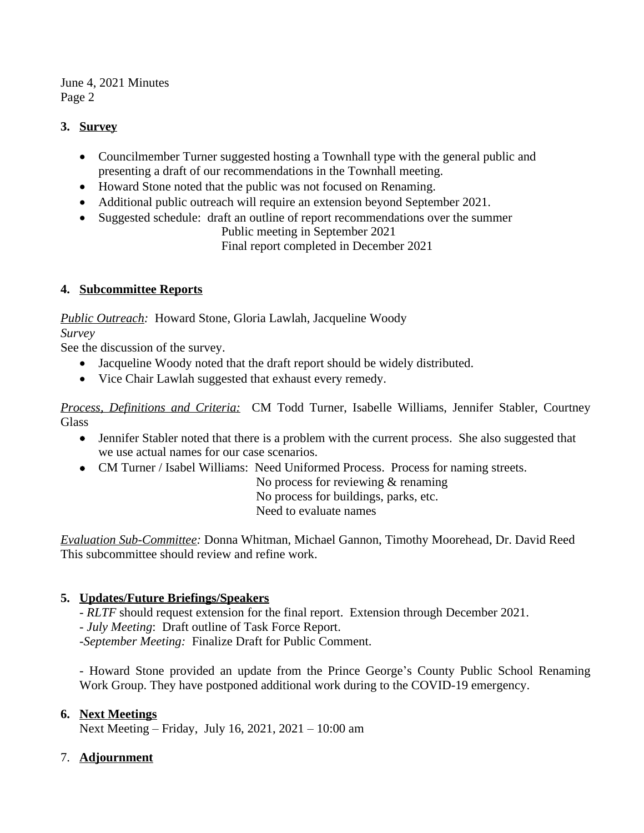June 4, 2021 Minutes Page 2

## **3. Survey**

- Councilmember Turner suggested hosting a Townhall type with the general public and presenting a draft of our recommendations in the Townhall meeting.
- Howard Stone noted that the public was not focused on Renaming.
- Additional public outreach will require an extension beyond September 2021.
- Suggested schedule: draft an outline of report recommendations over the summer

Public meeting in September 2021

Final report completed in December 2021

## **4. Subcommittee Reports**

*Public Outreach:* Howard Stone, Gloria Lawlah, Jacqueline Woody

*Survey*

See the discussion of the survey.

- Jacqueline Woody noted that the draft report should be widely distributed.
- Vice Chair Lawlah suggested that exhaust every remedy.

*Process, Definitions and Criteria:* CM Todd Turner, Isabelle Williams, Jennifer Stabler, Courtney Glass

- Jennifer Stabler noted that there is a problem with the current process. She also suggested that we use actual names for our case scenarios.
- CM Turner / Isabel Williams: Need Uniformed Process. Process for naming streets.

No process for reviewing & renaming

 No process for buildings, parks, etc. Need to evaluate names

*Evaluation Sub-Committee:* Donna Whitman, Michael Gannon, Timothy Moorehead, Dr. David Reed This subcommittee should review and refine work.

## **5. Updates/Future Briefings/Speakers**

*- RLTF* should request extension for the final report. Extension through December 2021.

*- July Meeting*: Draft outline of Task Force Report.

*-September Meeting:* Finalize Draft for Public Comment.

- Howard Stone provided an update from the Prince George's County Public School Renaming Work Group. They have postponed additional work during to the COVID-19 emergency.

## **6. Next Meetings**

Next Meeting – Friday, July 16, 2021, 2021 – 10:00 am

## 7. **Adjournment**